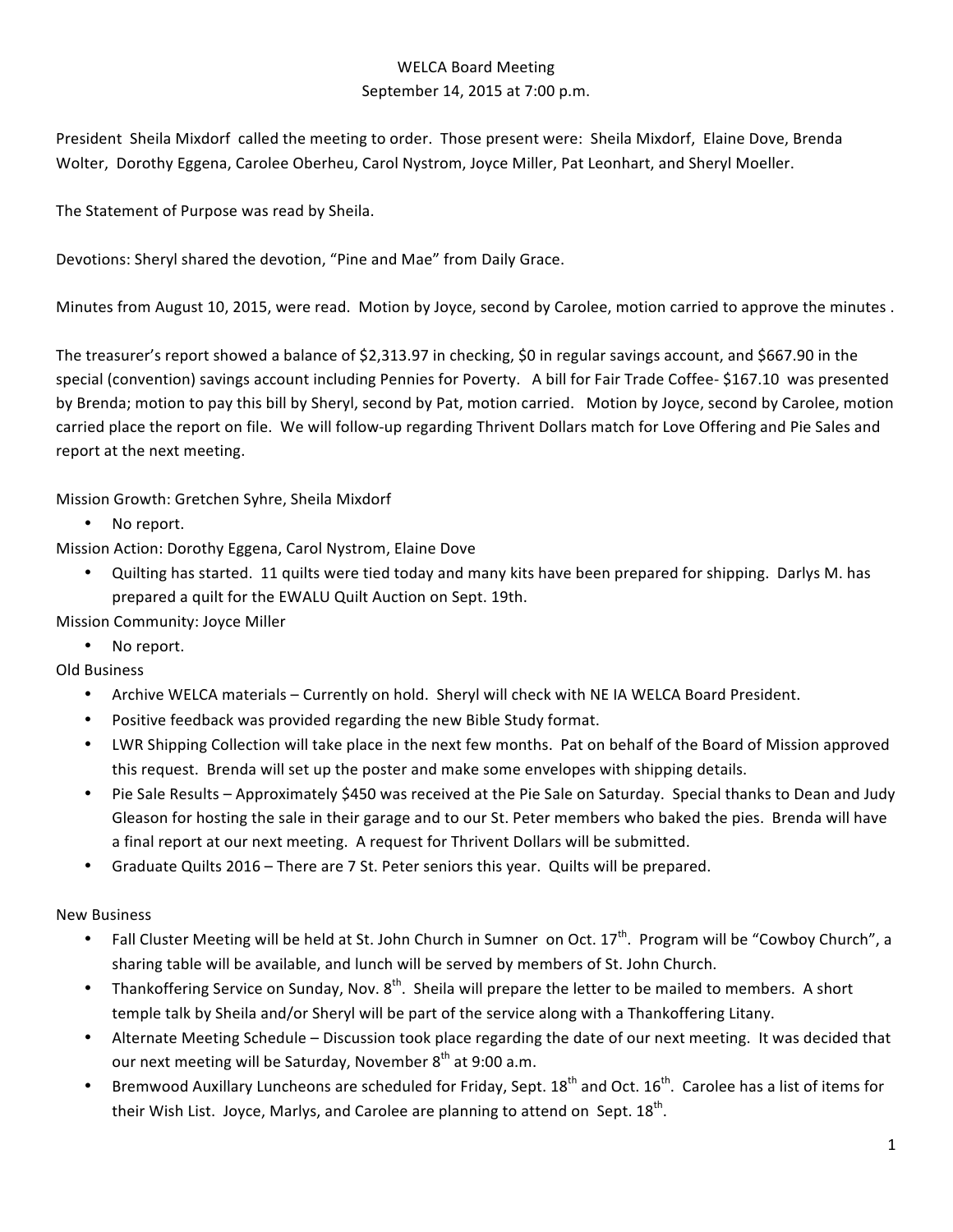## WELCA Board Meeting September 14, 2015 at 7:00 p.m.

President Sheila Mixdorf called the meeting to order. Those present were: Sheila Mixdorf, Elaine Dove, Brenda Wolter, Dorothy Eggena, Carolee Oberheu, Carol Nystrom, Joyce Miller, Pat Leonhart, and Sheryl Moeller.

The Statement of Purpose was read by Sheila.

Devotions: Sheryl shared the devotion, "Pine and Mae" from Daily Grace.

Minutes from August 10, 2015, were read. Motion by Joyce, second by Carolee, motion carried to approve the minutes.

The treasurer's report showed a balance of \$2,313.97 in checking, \$0 in regular savings account, and \$667.90 in the special (convention) savings account including Pennies for Poverty. A bill for Fair Trade Coffee- \$167.10 was presented by Brenda; motion to pay this bill by Sheryl, second by Pat, motion carried. Motion by Joyce, second by Carolee, motion carried place the report on file. We will follow-up regarding Thrivent Dollars match for Love Offering and Pie Sales and report at the next meeting.

Mission Growth: Gretchen Syhre, Sheila Mixdorf

• No report.

Mission Action: Dorothy Eggena, Carol Nystrom, Elaine Dove

Quilting has started. 11 quilts were tied today and many kits have been prepared for shipping. Darlys M. has prepared a quilt for the EWALU Quilt Auction on Sept. 19th.

Mission Community: Joyce Miller

No report.

Old Business

- Archive WELCA materials Currently on hold. Sheryl will check with NE IA WELCA Board President.
- Positive feedback was provided regarding the new Bible Study format.
- LWR Shipping Collection will take place in the next few months. Pat on behalf of the Board of Mission approved this request. Brenda will set up the poster and make some envelopes with shipping details.
- Pie Sale Results Approximately \$450 was received at the Pie Sale on Saturday. Special thanks to Dean and Judy Gleason for hosting the sale in their garage and to our St. Peter members who baked the pies. Brenda will have a final report at our next meeting. A request for Thrivent Dollars will be submitted.
- Graduate Quilts 2016 There are 7 St. Peter seniors this year. Quilts will be prepared.

New Business

- Fall Cluster Meeting will be held at St. John Church in Sumner on Oct.  $17^{th}$ . Program will be "Cowboy Church", a sharing table will be available, and lunch will be served by members of St. John Church.
- Thankoffering Service on Sunday, Nov.  $8<sup>th</sup>$ . Sheila will prepare the letter to be mailed to members. A short temple talk by Sheila and/or Sheryl will be part of the service along with a Thankoffering Litany.
- Alternate Meeting Schedule Discussion took place regarding the date of our next meeting. It was decided that our next meeting will be Saturday, November  $8<sup>th</sup>$  at 9:00 a.m.
- Bremwood Auxillary Luncheons are scheduled for Friday, Sept.  $18^{th}$  and Oct.  $16^{th}$ . Carolee has a list of items for their Wish List. Joyce, Marlys, and Carolee are planning to attend on Sept.  $18<sup>th</sup>$ .